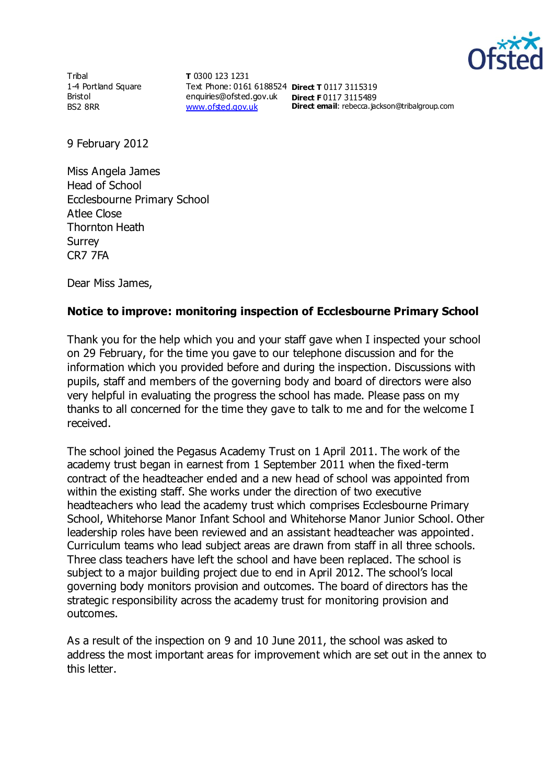

**Tribal** 1-4 Portland Square Bristol BS2 8RR

**T** 0300 123 1231 Text Phone: 0161 6188524 **Direct T** 0117 3115319 enquiries@ofsted.gov.uk **Direct F** 0117 3115489 [www.ofsted.gov.uk](http://www.ofsted.gov.uk/)

**Direct email**: rebecca.jackson@tribalgroup.com

9 February 2012

Miss Angela James Head of School Ecclesbourne Primary School Atlee Close Thornton Heath Surrey CR7 7FA

Dear Miss James,

## **Notice to improve: monitoring inspection of Ecclesbourne Primary School**

Thank you for the help which you and your staff gave when I inspected your school on 29 February, for the time you gave to our telephone discussion and for the information which you provided before and during the inspection. Discussions with pupils, staff and members of the governing body and board of directors were also very helpful in evaluating the progress the school has made. Please pass on my thanks to all concerned for the time they gave to talk to me and for the welcome I received.

The school joined the Pegasus Academy Trust on 1 April 2011. The work of the academy trust began in earnest from 1 September 2011 when the fixed-term contract of the headteacher ended and a new head of school was appointed from within the existing staff. She works under the direction of two executive headteachers who lead the academy trust which comprises Ecclesbourne Primary School, Whitehorse Manor Infant School and Whitehorse Manor Junior School. Other leadership roles have been reviewed and an assistant headteacher was appointed. Curriculum teams who lead subject areas are drawn from staff in all three schools. Three class teachers have left the school and have been replaced. The school is subject to a major building project due to end in April 2012. The school's local governing body monitors provision and outcomes. The board of directors has the strategic responsibility across the academy trust for monitoring provision and outcomes.

As a result of the inspection on 9 and 10 June 2011, the school was asked to address the most important areas for improvement which are set out in the annex to this letter.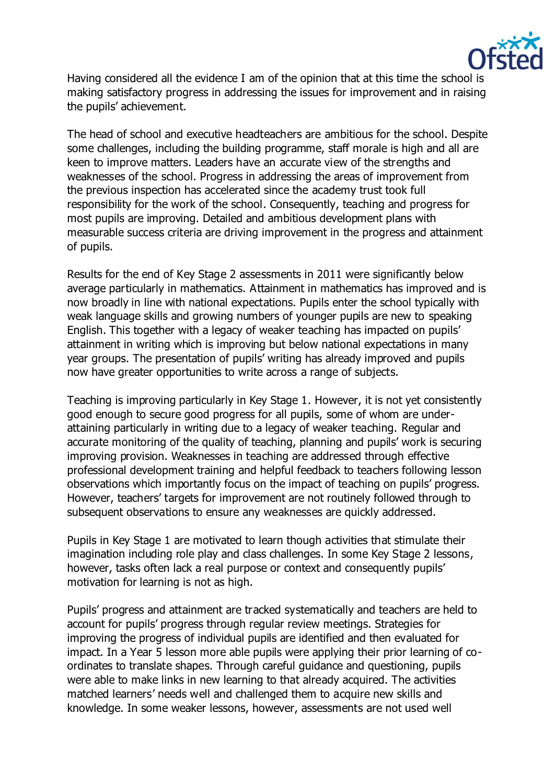

Having considered all the evidence I am of the opinion that at this time the school is making satisfactory progress in addressing the issues for improvement and in raising the pupils' achievement.

The head of school and executive headteachers are ambitious for the school. Despite some challenges, including the building programme, staff morale is high and all are keen to improve matters. Leaders have an accurate view of the strengths and weaknesses of the school. Progress in addressing the areas of improvement from the previous inspection has accelerated since the academy trust took full responsibility for the work of the school. Consequently, teaching and progress for most pupils are improving. Detailed and ambitious development plans with measurable success criteria are driving improvement in the progress and attainment of pupils.

Results for the end of Key Stage 2 assessments in 2011 were significantly below average particularly in mathematics. Attainment in mathematics has improved and is now broadly in line with national expectations. Pupils enter the school typically with weak language skills and growing numbers of younger pupils are new to speaking English. This together with a legacy of weaker teaching has impacted on pupils' attainment in writing which is improving but below national expectations in many year groups. The presentation of pupils' writing has already improved and pupils now have greater opportunities to write across a range of subjects.

Teaching is improving particularly in Key Stage 1. However, it is not yet consistently good enough to secure good progress for all pupils, some of whom are underattaining particularly in writing due to a legacy of weaker teaching. Regular and accurate monitoring of the quality of teaching, planning and pupils' work is securing improving provision. Weaknesses in teaching are addressed through effective professional development training and helpful feedback to teachers following lesson observations which importantly focus on the impact of teaching on pupils' progress. However, teachers' targets for improvement are not routinely followed through to subsequent observations to ensure any weaknesses are quickly addressed.

Pupils in Key Stage 1 are motivated to learn though activities that stimulate their imagination including role play and class challenges. In some Key Stage 2 lessons, however, tasks often lack a real purpose or context and consequently pupils' motivation for learning is not as high.

Pupils' progress and attainment are tracked systematically and teachers are held to account for pupils' progress through regular review meetings. Strategies for improving the progress of individual pupils are identified and then evaluated for impact. In a Year 5 lesson more able pupils were applying their prior learning of coordinates to translate shapes. Through careful guidance and questioning, pupils were able to make links in new learning to that already acquired. The activities matched learners' needs well and challenged them to acquire new skills and knowledge. In some weaker lessons, however, assessments are not used well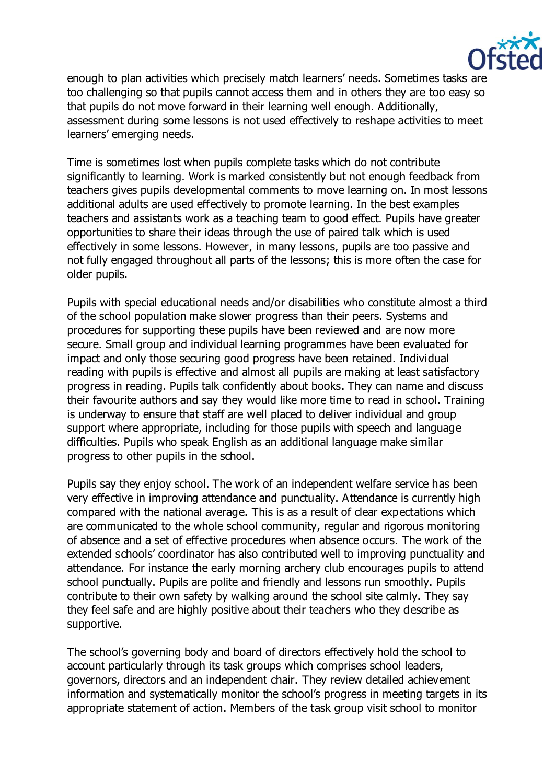

enough to plan activities which precisely match learners' needs. Sometimes tasks are too challenging so that pupils cannot access them and in others they are too easy so that pupils do not move forward in their learning well enough. Additionally, assessment during some lessons is not used effectively to reshape activities to meet learners' emerging needs.

Time is sometimes lost when pupils complete tasks which do not contribute significantly to learning. Work is marked consistently but not enough feedback from teachers gives pupils developmental comments to move learning on. In most lessons additional adults are used effectively to promote learning. In the best examples teachers and assistants work as a teaching team to good effect. Pupils have greater opportunities to share their ideas through the use of paired talk which is used effectively in some lessons. However, in many lessons, pupils are too passive and not fully engaged throughout all parts of the lessons; this is more often the case for older pupils.

Pupils with special educational needs and/or disabilities who constitute almost a third of the school population make slower progress than their peers. Systems and procedures for supporting these pupils have been reviewed and are now more secure. Small group and individual learning programmes have been evaluated for impact and only those securing good progress have been retained. Individual reading with pupils is effective and almost all pupils are making at least satisfactory progress in reading. Pupils talk confidently about books. They can name and discuss their favourite authors and say they would like more time to read in school. Training is underway to ensure that staff are well placed to deliver individual and group support where appropriate, including for those pupils with speech and language difficulties. Pupils who speak English as an additional language make similar progress to other pupils in the school.

Pupils say they enjoy school. The work of an independent welfare service has been very effective in improving attendance and punctuality. Attendance is currently high compared with the national average. This is as a result of clear expectations which are communicated to the whole school community, regular and rigorous monitoring of absence and a set of effective procedures when absence occurs. The work of the extended schools' coordinator has also contributed well to improving punctuality and attendance. For instance the early morning archery club encourages pupils to attend school punctually. Pupils are polite and friendly and lessons run smoothly. Pupils contribute to their own safety by walking around the school site calmly. They say they feel safe and are highly positive about their teachers who they describe as supportive.

The school's governing body and board of directors effectively hold the school to account particularly through its task groups which comprises school leaders, governors, directors and an independent chair. They review detailed achievement information and systematically monitor the school's progress in meeting targets in its appropriate statement of action. Members of the task group visit school to monitor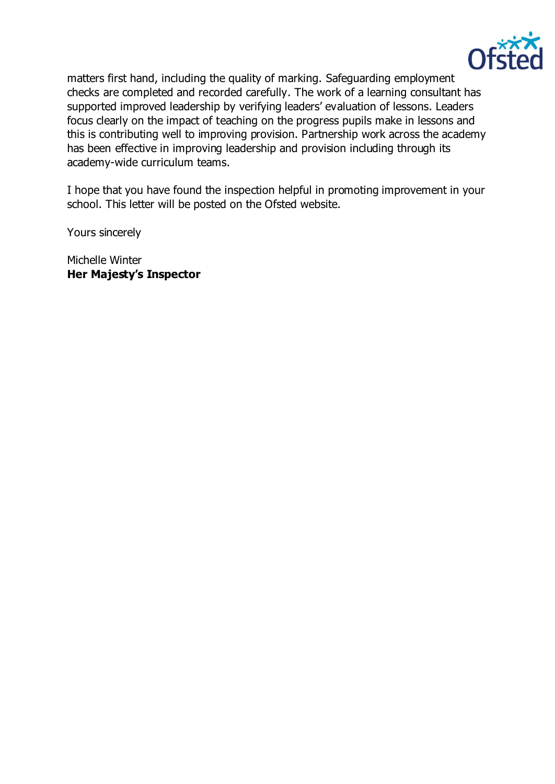

matters first hand, including the quality of marking. Safeguarding employment checks are completed and recorded carefully. The work of a learning consultant has supported improved leadership by verifying leaders' evaluation of lessons. Leaders focus clearly on the impact of teaching on the progress pupils make in lessons and this is contributing well to improving provision. Partnership work across the academy has been effective in improving leadership and provision including through its academy-wide curriculum teams.

I hope that you have found the inspection helpful in promoting improvement in your school. This letter will be posted on the Ofsted website.

Yours sincerely

Michelle Winter **Her Majesty's Inspector**